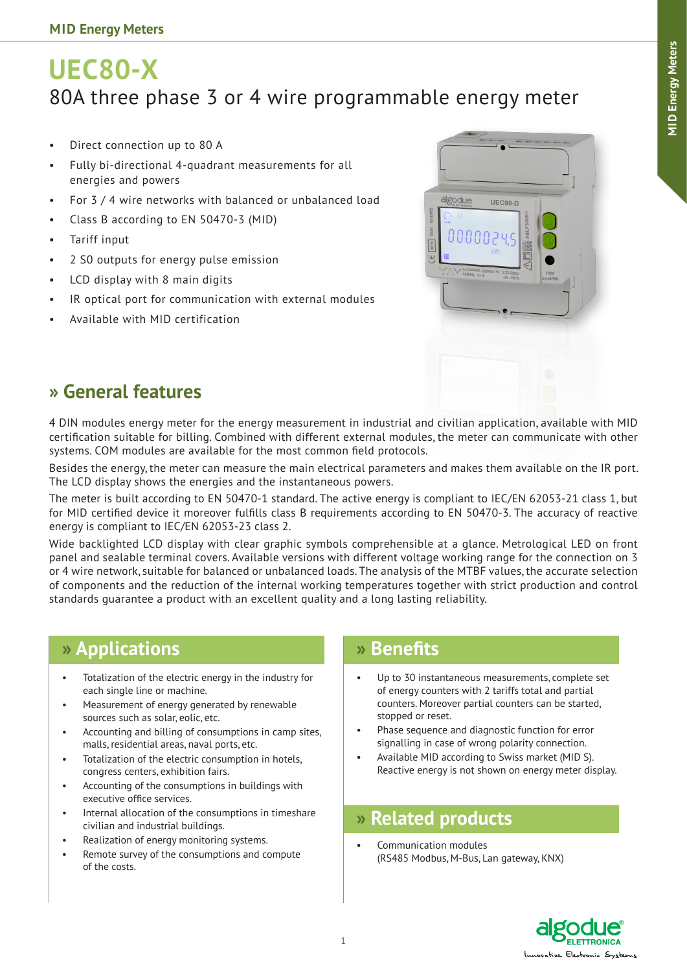# **UEC80-X** 80A three phase 3 or 4 wire programmable energy meter

- Direct connection up to 80 A
- Fully bi-directional 4-quadrant measurements for all energies and powers
- For 3 / 4 wire networks with balanced or unbalanced load
- Class B according to EN 50470-3 (MID)
- • Tariff input
- 2 S0 outputs for energy pulse emission
- • LCD display with 8 main digits
- IR optical port for communication with external modules
- Available with MID certification



### **» General features**

4 DIN modules energy meter for the energy measurement in industrial and civilian application, available with MID certification suitable for billing. Combined with different external modules, the meter can communicate with other systems. COM modules are available for the most common field protocols.

Besides the energy, the meter can measure the main electrical parameters and makes them available on the IR port. The LCD display shows the energies and the instantaneous powers.

The meter is built according to EN 50470-1 standard. The active energy is compliant to IEC/EN 62053-21 class 1, but for MID certified device it moreover fulfills class B requirements according to EN 50470-3. The accuracy of reactive energy is compliant to IEC/EN 62053-23 class 2.

Wide backlighted LCD display with clear graphic symbols comprehensible at a glance. Metrological LED on front panel and sealable terminal covers. Available versions with different voltage working range for the connection on 3 or 4 wire network, suitable for balanced or unbalanced loads. The analysis of the MTBF values, the accurate selection of components and the reduction of the internal working temperatures together with strict production and control standards guarantee a product with an excellent quality and a long lasting reliability.

### **» Applications**

- Totalization of the electric energy in the industry for each single line or machine.
- Measurement of energy generated by renewable sources such as solar, eolic, etc.
- Accounting and billing of consumptions in camp sites, malls, residential areas, naval ports, etc.
- Totalization of the electric consumption in hotels, congress centers, exhibition fairs.
- Accounting of the consumptions in buildings with executive office services.
- Internal allocation of the consumptions in timeshare civilian and industrial buildings.
- Realization of energy monitoring systems.
- Remote survey of the consumptions and compute of the costs.

### **» Benefits**

- Up to 30 instantaneous measurements, complete set of energy counters with 2 tariffs total and partial counters. Moreover partial counters can be started, stopped or reset.
- Phase sequence and diagnostic function for error signalling in case of wrong polarity connection.
- Available MID according to Swiss market (MID S). Reactive energy is not shown on energy meter display.

## **» Related products**

Communication modules (RS485 Modbus, M-Bus, Lan gateway, KNX)

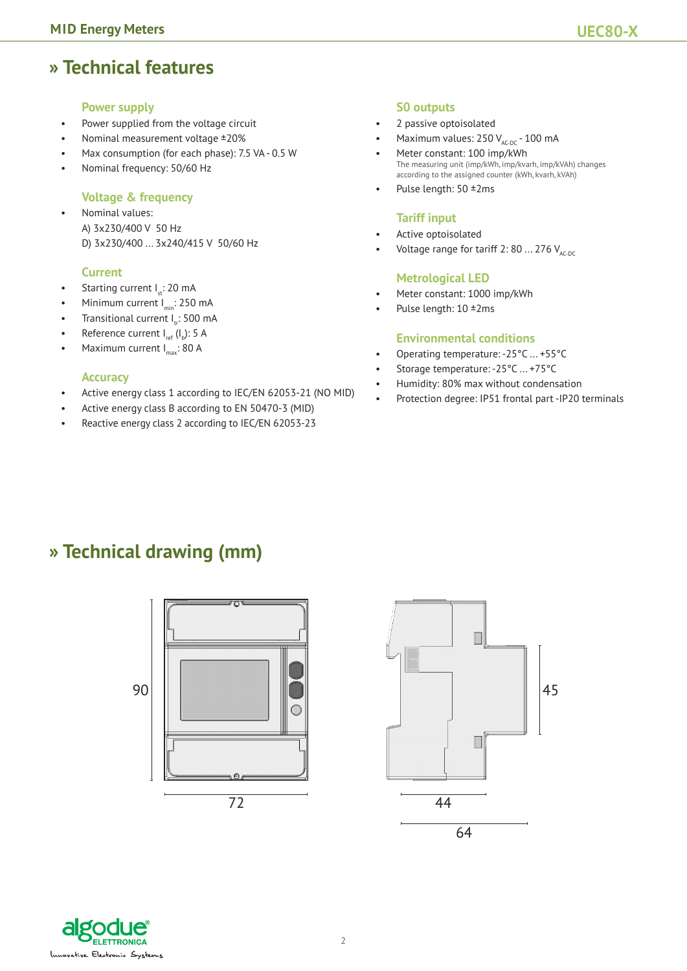### **» Technical features**

#### **Power supply**

- Power supplied from the voltage circuit
- Nominal measurement voltage ±20%
- Max consumption (for each phase): 7.5 VA 0.5 W
- Nominal frequency: 50/60 Hz

#### **Voltage & frequency**

Nominal values: A) 3x230/400 V 50 Hz D) 3x230/400 ... 3x240/415 V 50/60 Hz

#### **Current**

- Starting current I<sub>n</sub>: 20 mA
- Minimum current  $I_{\text{min}}$ : 250 mA
- Transitional current  $I_{tr}$ : 500 mA
- Reference current  $I_{ref}$  ( $I_b$ ): 5 A
- Maximum current  $I_{\text{max}}$ : 80 A

#### **Accuracy**

- Active energy class 1 according to IEC/EN 62053-21 (NO MID)
- Active energy class B according to EN 50470-3 (MID)
- Reactive energy class 2 according to IEC/EN 62053-23

#### **S0 outputs**

- 2 passive optoisolated
- Maximum values:  $250 V_{AC-DC} 100 mA$
- Meter constant: 100 imp/kWh The measuring unit (imp/kWh, imp/kvarh, imp/kVAh) changes according to the assigned counter (kWh, kvarh, kVAh)
- Pulse length:  $50 \pm 2 \text{ms}$

#### **Tariff input**

- Active optoisolated
- Voltage range for tariff 2: 80 ... 276  $V_{AC,DC}$

#### **Metrological LED**

- Meter constant: 1000 imp/kWh
- Pulse length: 10 ±2ms

#### **Environmental conditions**

- Operating temperature: -25°C ... +55°C
- Storage temperature: -25°C ... +75°C
- Humidity: 80% max without condensation
- Protection degree: IP51 frontal part -IP20 terminals

### **» Technical drawing (mm)**





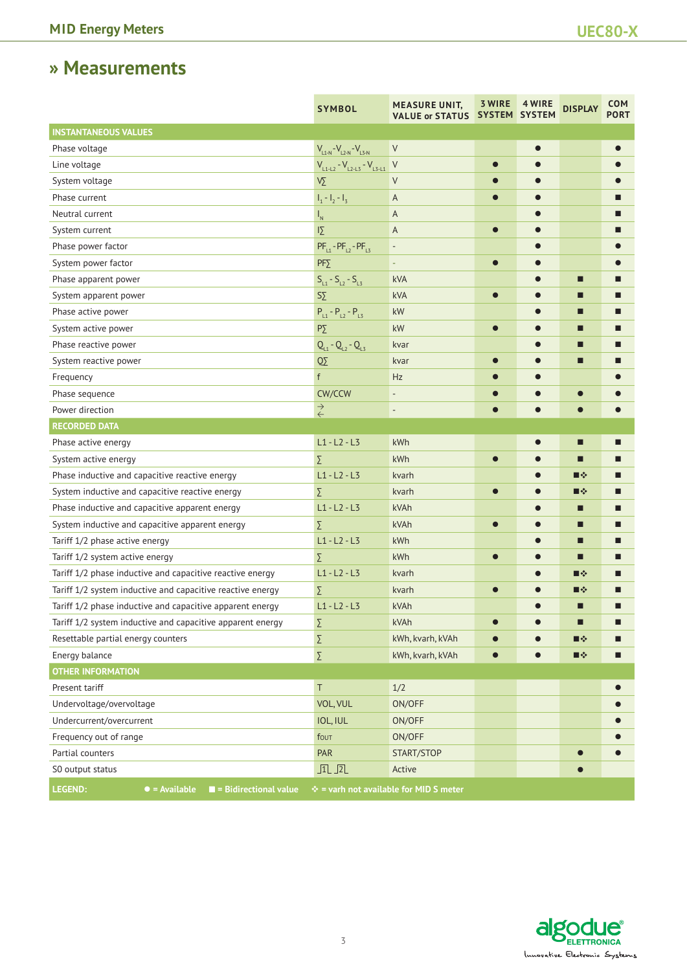## **» Measurements**

|                                                                          | <b>SYMBOL</b>                         | <b>MEASURE UNIT,</b><br><b>VALUE or STATUS</b>         | <b>3 WIRE</b><br>SYSTEM SYSTEM | 4 WIRE    | <b>DISPLAY</b> | <b>COM</b><br><b>PORT</b> |
|--------------------------------------------------------------------------|---------------------------------------|--------------------------------------------------------|--------------------------------|-----------|----------------|---------------------------|
| <b>INSTANTANEOUS VALUES</b>                                              |                                       |                                                        |                                |           |                |                           |
| Phase voltage                                                            | $V_{L1-N} - V_{L2-N} - V_{L3-N}$      | V                                                      |                                | $\bullet$ |                |                           |
| Line voltage                                                             | $V_{L1-L2} - V_{L2-L3} - V_{L3-L1}$ V |                                                        | $\bullet$                      |           |                |                           |
| System voltage                                                           | $\sqrt{\Sigma}$                       | $\vee$                                                 |                                |           |                |                           |
| Phase current                                                            | $I_1 - I_2 - I_3$                     | A                                                      |                                |           |                |                           |
| Neutral current                                                          | $\mathsf{I}_{\mathsf{N}}$             | A                                                      |                                |           |                |                           |
| System current                                                           | $\overline{12}$                       | A                                                      | $\bullet$                      |           |                |                           |
| Phase power factor                                                       | $PF_{11} - PF_{12} - PF_{13}$         | $\overline{\phantom{a}}$                               |                                |           |                |                           |
| System power factor                                                      | $PF\Sigma$                            | ٠                                                      | $\bullet$                      |           |                |                           |
| Phase apparent power                                                     | $S_{L1} - S_{L2} - S_{L3}$            | kVA                                                    |                                |           | П              |                           |
| System apparent power                                                    | $S \Sigma$                            | kVA                                                    | $\bullet$                      |           | П              | Ш                         |
| Phase active power                                                       | $P_{L1} - P_{L2} - P_{L3}$            | kW                                                     |                                |           | ■              |                           |
| System active power                                                      | $P\Sigma$                             | kW                                                     | $\bullet$                      |           | ■              |                           |
| Phase reactive power                                                     | $Q_{L1} - Q_{L2} - Q_{L3}$            | kvar                                                   |                                |           | ⊓              |                           |
| System reactive power                                                    | $\overline{\text{O}}\Sigma$           | kvar                                                   |                                |           | □              |                           |
| Frequency                                                                | f                                     | Hz                                                     |                                |           |                |                           |
| Phase sequence                                                           | CW/CCW                                | $\qquad \qquad -$                                      |                                |           |                |                           |
| Power direction                                                          | $\stackrel{\rightarrow}{\leftarrow}$  | $\qquad \qquad \blacksquare$                           |                                |           |                |                           |
| <b>RECORDED DATA</b>                                                     |                                       |                                                        |                                |           |                |                           |
| Phase active energy                                                      | $L1 - L2 - L3$                        | kWh                                                    |                                |           | □              |                           |
| System active energy                                                     | Σ                                     | kWh                                                    |                                |           | П              |                           |
| Phase inductive and capacitive reactive energy                           | $L1 - L2 - L3$                        | kvarh                                                  |                                |           | ■※             | Ш                         |
| System inductive and capacitive reactive energy                          | Σ                                     | kvarh                                                  |                                |           | ■※             |                           |
| Phase inductive and capacitive apparent energy                           | $L1 - L2 - L3$                        | kVAh                                                   |                                |           | ■              |                           |
| System inductive and capacitive apparent energy                          | Σ                                     | kVAh                                                   |                                |           | ■              | ■                         |
| Tariff 1/2 phase active energy                                           | $L1 - L2 - L3$                        | kWh                                                    |                                |           | □              |                           |
| Tariff 1/2 system active energy                                          | Σ                                     | kWh                                                    | $\bullet$                      | $\bullet$ | П              |                           |
| Tariff 1/2 phase inductive and capacitive reactive energy                | $L1 - L2 - L3$                        | kvarh                                                  |                                |           | ■※             |                           |
| Tariff 1/2 system inductive and capacitive reactive energy               | Σ                                     | kvarh                                                  | $\bullet$                      |           | ∎∻             |                           |
| Tariff 1/2 phase inductive and capacitive apparent energy                | $L1 - L2 - L3$                        | kVAh                                                   |                                |           | □              | П                         |
| Tariff 1/2 system inductive and capacitive apparent energy               | Σ                                     | kVAh                                                   |                                |           | □              | ■                         |
| Resettable partial energy counters                                       | Σ                                     | kWh, kvarh, kVAh                                       |                                |           | ■※             |                           |
| Energy balance                                                           | Σ                                     | kWh, kvarh, kVAh                                       | $\bullet$                      |           | ■※             | ■                         |
| <b>OTHER INFORMATION</b>                                                 |                                       |                                                        |                                |           |                |                           |
| Present tariff                                                           | Τ                                     | 1/2                                                    |                                |           |                |                           |
| Undervoltage/overvoltage                                                 | VOL, VUL                              | ON/OFF                                                 |                                |           |                |                           |
| Undercurrent/overcurrent                                                 | IOL, IUL                              | ON/OFF                                                 |                                |           |                |                           |
| Frequency out of range                                                   | fout                                  | ON/OFF                                                 |                                |           |                |                           |
| Partial counters                                                         | PAR                                   | START/STOP                                             |                                |           |                |                           |
| S0 output status                                                         | $\sqrt{1}$                            | Active                                                 |                                |           |                |                           |
| LEGEND:<br>$\bullet$ = Available<br>$\blacksquare$ = Bidirectional value |                                       | $\Leftrightarrow$ = varh not available for MID S meter |                                |           |                |                           |